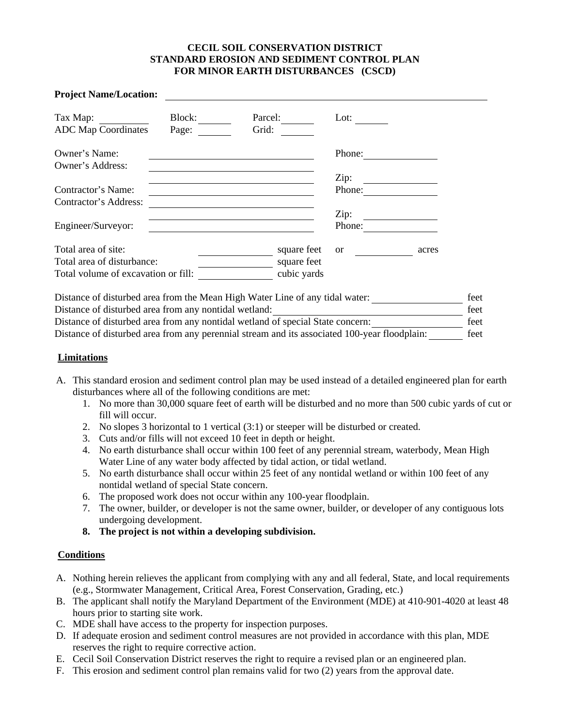### **CECIL SOIL CONSERVATION DISTRICT STANDARD EROSION AND SEDIMENT CONTROL PLAN FOR MINOR EARTH DISTURBANCES (CSCD)**

| <b>Project Name/Location:</b>       |                  |               |        |
|-------------------------------------|------------------|---------------|--------|
| Block:<br>Page:                     | Parcel:<br>Grid: | Lot:          |        |
|                                     |                  |               |        |
|                                     |                  |               |        |
|                                     |                  | Zip:          |        |
|                                     |                  | Phone:        |        |
|                                     |                  |               |        |
|                                     |                  | Zip:          |        |
|                                     |                  | Phone:        |        |
|                                     | square feet      | <sub>or</sub> | acres  |
| Total area of disturbance:          | square feet      |               |        |
| Total volume of excavation or fill: | cubic yards      |               |        |
|                                     |                  |               | Phone: |

Distance of disturbed area from the Mean High Water Line of any tidal water: feet Distance of disturbed area from any nontidal wetland: feet Distance of disturbed area from any nontidal wetland of special State concern: feet Distance of disturbed area from any perennial stream and its associated 100-year floodplain: feet

#### **Limitations**

- A. This standard erosion and sediment control plan may be used instead of a detailed engineered plan for earth disturbances where all of the following conditions are met:
	- 1. No more than 30,000 square feet of earth will be disturbed and no more than 500 cubic yards of cut or fill will occur.
	- 2. No slopes 3 horizontal to 1 vertical (3:1) or steeper will be disturbed or created.
	- 3. Cuts and/or fills will not exceed 10 feet in depth or height.
	- 4. No earth disturbance shall occur within 100 feet of any perennial stream, waterbody, Mean High Water Line of any water body affected by tidal action, or tidal wetland.
	- 5. No earth disturbance shall occur within 25 feet of any nontidal wetland or within 100 feet of any nontidal wetland of special State concern.
	- 6. The proposed work does not occur within any 100-year floodplain.
	- 7. The owner, builder, or developer is not the same owner, builder, or developer of any contiguous lots undergoing development.
	- **8. The project is not within a developing subdivision.**

#### **Conditions**

- A. Nothing herein relieves the applicant from complying with any and all federal, State, and local requirements (e.g., Stormwater Management, Critical Area, Forest Conservation, Grading, etc.)
- B. The applicant shall notify the Maryland Department of the Environment (MDE) at 410-901-4020 at least 48 hours prior to starting site work.
- C. MDE shall have access to the property for inspection purposes.
- D. If adequate erosion and sediment control measures are not provided in accordance with this plan, MDE reserves the right to require corrective action.
- E. Cecil Soil Conservation District reserves the right to require a revised plan or an engineered plan.
- F. This erosion and sediment control plan remains valid for two (2) years from the approval date.